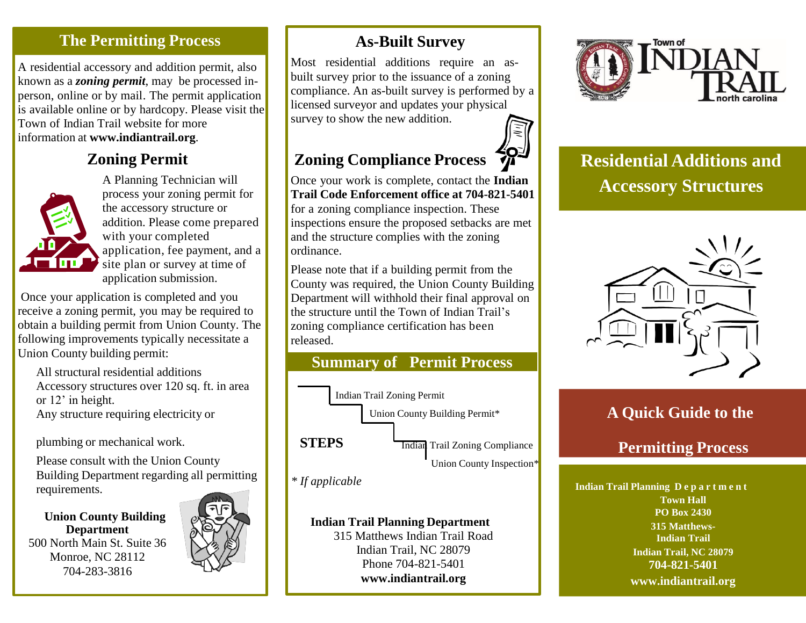### **The Permitting Process**

A residential accessory and addition permit, also known as a *zoning permit*, may be processed inperson, online or by mail. The permit application is available online or by hardcopy. Please visit the Town of Indian Trail website for more information at **[www.indiantrail.org](http://www.indiantrail.org/)**.

### **Zoning Permit**



A Planning Technician will process your zoning permit for the accessory structure or addition. Please come prepared with your completed application, fee payment, and a site plan or survey at time of application submission.

Once your application is completed and you receive a zoning permit, you may be required to obtain a building permit from Union County. The following improvements typically necessitate a Union County building permit:

All structural residential additions Accessory structures over 120 sq. ft. in area or 12' in height. Any structure requiring electricity or

plumbing or mechanical work.

Please consult with the Union County Building Department regarding all permitting requirements.

**Department** 500 North Main St. Suite 36 Monroe, NC 28112 704-283-3816



# **As-Built Survey**

Most residential additions require an asbuilt survey prior to the issuance of a zoning compliance. An as-built survey is performed by a licensed surveyor and updates your physical survey to show the new addition.

# **Zoning Compliance Process**

Once your work is complete, contact the **Indian Trail Code Enforcement office at 704-821-5401**  for a zoning compliance inspection. These inspections ensure the proposed setbacks are met and the structure complies with the zoning ordinance.

Please note that if a building permit from the County was required, the Union County Building Department will withhold their final approval on the structure until the Town of Indian Trail's zoning compliance certification has been released.



*\* If applicable*

315 Matthews Indian Trail Road Indian Trail, NC 28079 Phone 704-821-5401 **[www.indiantrail.org](http://www.indiantrail.org/)**



**Residential Additions and Accessory Structures**



### **A Quick Guide to the**

## **Permitting Process**

**Indian Trail Planning D e p a r t m e n t Town Hall PO Box 2430 PO Box 2430 Indian Trail Planning Department Planning Po Box 2430 PO Box 2430 315 Matthews-Indian Trail Indian Trail, NC 28079 704-821-540[1](http://www.indiantrail.org/) [www.indiantrail.org](http://www.indiantrail.org/)**